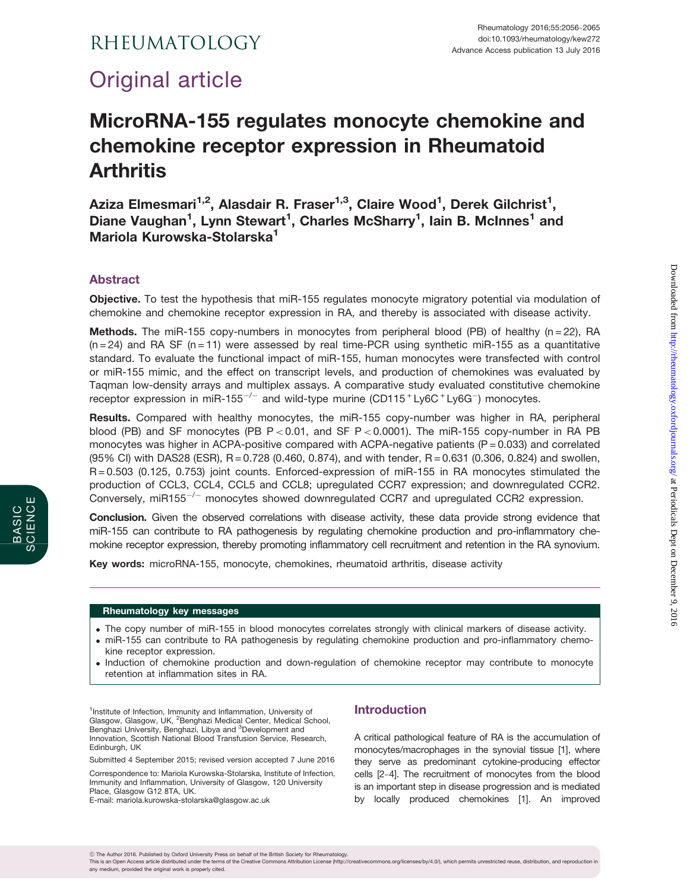# RHEUMATOLOGY

# Original article

# MicroRNA-155 regulates monocyte chemokine and chemokine receptor expression in Rheumatoid **Arthritis**

Aziza Elmesmari $^{1,2}$ , Alasdair R. Fraser $^{1,3}$ , Claire Wood $^{1}$ , Derek Gilchrist $^{1},$ Diane Vaughan<sup>1</sup>, Lynn Stewart<sup>1</sup>, Charles McSharry<sup>1</sup>, Iain B. McInnes<sup>1</sup> and Mariola Kurowska-Stolarska<sup>1</sup>

# Abstract

BASIC SCIENCE

SCIENCE

Objective. To test the hypothesis that miR-155 regulates monocyte migratory potential via modulation of chemokine and chemokine receptor expression in RA, and thereby is associated with disease activity.

**Methods.** The miR-155 copy-numbers in monocytes from peripheral blood (PB) of healthy ( $n = 22$ ), RA  $(n=24)$  and RA SF  $(n=11)$  were assessed by real time-PCR using synthetic miR-155 as a quantitative standard. To evaluate the functional impact of miR-155, human monocytes were transfected with control or miR-155 mimic, and the effect on transcript levels, and production of chemokines was evaluated by Taqman low-density arrays and multiplex assays. A comparative study evaluated constitutive chemokine receptor expression in miR-155<sup>-/-</sup> and wild-type murine (CD115<sup>+</sup>Ly6C<sup>+</sup>Ly6G<sup>-</sup>) monocytes.

Results. Compared with healthy monocytes, the miR-155 copy-number was higher in RA, peripheral blood (PB) and SF monocytes (PB  $P < 0.01$ , and SF  $P < 0.0001$ ). The miR-155 copy-number in RA PB monocytes was higher in ACPA-positive compared with ACPA-negative patients  $(P = 0.033)$  and correlated (95% CI) with DAS28 (ESR), R = 0.728 (0.460, 0.874), and with tender, R = 0.631 (0.306, 0.824) and swollen, R = 0.503 (0.125, 0.753) joint counts. Enforced-expression of miR-155 in RA monocytes stimulated the production of CCL3, CCL4, CCL5 and CCL8; upregulated CCR7 expression; and downregulated CCR2. Conversely, miR155<sup>-/-</sup> monocytes showed downregulated CCR7 and upregulated CCR2 expression.

**Conclusion.** Given the observed correlations with disease activity, these data provide strong evidence that miR-155 can contribute to RA pathogenesis by regulating chemokine production and pro-inflammatory chemokine receptor expression, thereby promoting inflammatory cell recruitment and retention in the RA synovium.

Key words: microRNA-155, monocyte, chemokines, rheumatoid arthritis, disease activity

#### Rheumatology key messages

- . The copy number of miR-155 in blood monocytes correlates strongly with clinical markers of disease activity.
- . miR-155 can contribute to RA pathogenesis by regulating chemokine production and pro-inflammatory chemokine receptor expression.
- . Induction of chemokine production and down-regulation of chemokine receptor may contribute to monocyte retention at inflammation sites in RA.

<sup>1</sup>Institute of Infection, Immunity and Inflammation, University of Glasgow, Glasgow, UK, <sup>2</sup> Benghazi Medical Center, Medical School, Benghazi University, Benghazi, Libya and <sup>3</sup>Development and Innovation, Scottish National Blood Transfusion Service, Research, Edinburgh, UK

Submitted 4 September 2015; revised version accepted 7 June 2016

Correspondence to: Mariola Kurowska-Stolarska, Institute of Infection, Immunity and Inflammation, University of Glasgow, 120 University Place, Glasgow G12 8TA, UK.

E-mail: mariola.kurowska-stolarska@glasgow.ac.uk

## Introduction

A critical pathological feature of RA is the accumulation of monocytes/macrophages in the synovial tissue [[1](#page-8-0)], where they serve as predominant cytokine-producing effector cells [\[2](#page-8-0)-[4](#page-8-0)]. The recruitment of monocytes from the blood is an important step in disease progression and is mediated by locally produced chemokines [\[1\]](#page-8-0). An improved

This is an Open Access article distributed under the terms of the Creative Commons Attribution License ([http://creativecommons.org/licenses/by/4.0/\)](http://creativecommons.org/licenses/by/4.0/), which permits unrestricted reuse, distribution, and reproduction in any medium, provided the original work is properly cited.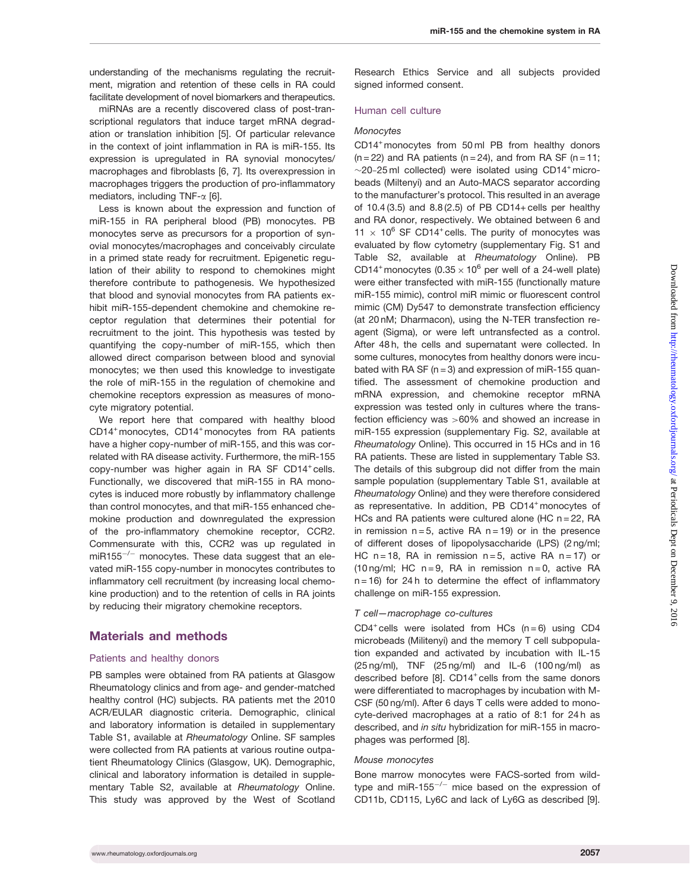understanding of the mechanisms regulating the recruitment, migration and retention of these cells in RA could facilitate development of novel biomarkers and therapeutics.

miRNAs are a recently discovered class of post-transcriptional regulators that induce target mRNA degradation or translation inhibition [\[5\]](#page-8-0). Of particular relevance in the context of joint inflammation in RA is miR-155. Its expression is upregulated in RA synovial monocytes/ macrophages and fibroblasts [\[6, 7\]](#page-8-0). Its overexpression in macrophages triggers the production of pro-inflammatory mediators, including TNF- $\alpha$  [\[6\]](#page-8-0).

Less is known about the expression and function of miR-155 in RA peripheral blood (PB) monocytes. PB monocytes serve as precursors for a proportion of synovial monocytes/macrophages and conceivably circulate in a primed state ready for recruitment. Epigenetic regulation of their ability to respond to chemokines might therefore contribute to pathogenesis. We hypothesized that blood and synovial monocytes from RA patients exhibit miR-155-dependent chemokine and chemokine receptor regulation that determines their potential for recruitment to the joint. This hypothesis was tested by quantifying the copy-number of miR-155, which then allowed direct comparison between blood and synovial monocytes; we then used this knowledge to investigate the role of miR-155 in the regulation of chemokine and chemokine receptors expression as measures of monocyte migratory potential.

We report here that compared with healthy blood CD14<sup>+</sup> monocytes, CD14<sup>+</sup> monocytes from RA patients have a higher copy-number of miR-155, and this was correlated with RA disease activity. Furthermore, the miR-155 copy-number was higher again in RA SF CD14+ cells. Functionally, we discovered that miR-155 in RA monocytes is induced more robustly by inflammatory challenge than control monocytes, and that miR-155 enhanced chemokine production and downregulated the expression of the pro-inflammatory chemokine receptor, CCR2. Commensurate with this, CCR2 was up regulated in miR155 $^{-/-}$  monocytes. These data suggest that an elevated miR-155 copy-number in monocytes contributes to inflammatory cell recruitment (by increasing local chemokine production) and to the retention of cells in RA joints by reducing their migratory chemokine receptors.

### Materials and methods

#### Patients and healthy donors

PB samples were obtained from RA patients at Glasgow Rheumatology clinics and from age- and gender-matched healthy control (HC) subjects. RA patients met the 2010 ACR/EULAR diagnostic criteria. Demographic, clinical and laboratory information is detailed in [supplementary](http://rheumatology.oxfordjournals.org/lookup/suppl/doi:10.1093/rheumatology/kew272/-/DC1) [Table S1](http://rheumatology.oxfordjournals.org/lookup/suppl/doi:10.1093/rheumatology/kew272/-/DC1), available at Rheumatology Online. SF samples were collected from RA patients at various routine outpatient Rheumatology Clinics (Glasgow, UK). Demographic, clinical and laboratory information is detailed in [supple](http://rheumatology.oxfordjournals.org/lookup/suppl/doi:10.1093/rheumatology/kew272/-/DC1)[mentary Table S2](http://rheumatology.oxfordjournals.org/lookup/suppl/doi:10.1093/rheumatology/kew272/-/DC1), available at Rheumatology Online. This study was approved by the West of Scotland

Research Ethics Service and all subjects provided signed informed consent.

#### Human cell culture

#### **Monocytes**

CD14+monocytes from 50 ml PB from healthy donors  $(n = 22)$  and RA patients  $(n = 24)$ , and from RA SF  $(n = 11)$ ;  $\sim$ 20-25 ml collected) were isolated using CD14<sup>+</sup> microbeads (Miltenyi) and an Auto-MACS separator according to the manufacturer's protocol. This resulted in an average of 10.4 (3.5) and 8.8 (2.5) of PB CD14+ cells per healthy and RA donor, respectively. We obtained between 6 and 11  $\times$  10<sup>6</sup> SF CD14<sup>+</sup> cells. The purity of monocytes was evaluated by flow cytometry ([supplementary Fig. S1](http://rheumatology.oxfordjournals.org/lookup/suppl/doi:10.1093/rheumatology/kew272/-/DC1) and Table S2, available at Rheumatology Online). PB CD14<sup>+</sup> monocytes (0.35  $\times$  10<sup>6</sup> per well of a 24-well plate) were either transfected with miR-155 (functionally mature miR-155 mimic), control miR mimic or fluorescent control mimic (CM) Dy547 to demonstrate transfection efficiency (at 20 nM; Dharmacon), using the N-TER transfection reagent (Sigma), or were left untransfected as a control. After 48 h, the cells and supernatant were collected. In some cultures, monocytes from healthy donors were incubated with RA SF ( $n = 3$ ) and expression of miR-155 quantified. The assessment of chemokine production and mRNA expression, and chemokine receptor mRNA expression was tested only in cultures where the transfection efficiency was >60% and showed an increase in miR-155 expression ([supplementary Fig. S2,](http://rheumatology.oxfordjournals.org/lookup/suppl/doi:10.1093/rheumatology/kew272/-/DC1) available at Rheumatology Online). This occurred in 15 HCs and in 16 RA patients. These are listed in [supplementary Table S3.](http://rheumatology.oxfordjournals.org/lookup/suppl/doi:10.1093/rheumatology/kew272/-/DC1) The details of this subgroup did not differ from the main sample population ([supplementary Table S1,](http://rheumatology.oxfordjournals.org/lookup/suppl/doi:10.1093/rheumatology/kew272/-/DC1) available at Rheumatology Online) and they were therefore considered as representative. In addition, PB CD14<sup>+</sup> monocytes of HCs and RA patients were cultured alone (HC n = 22, RA in remission  $n = 5$ , active RA  $n = 19$ ) or in the presence of different doses of lipopolysaccharide (LPS) (2 ng/ml; HC n = 18, RA in remission n = 5, active RA n = 17) or (10 ng/ml; HC  $n = 9$ , RA in remission  $n = 0$ , active RA  $n = 16$ ) for 24h to determine the effect of inflammatory challenge on miR-155 expression.

#### T cell—macrophage co-cultures

CD4<sup>+</sup> cells were isolated from HCs  $(n = 6)$  using CD4 microbeads (Militenyi) and the memory T cell subpopulation expanded and activated by incubation with IL-15 (25 ng/ml), TNF (25 ng/ml) and IL-6 (100 ng/ml) as described before [\[8\]](#page-8-0). CD14<sup>+</sup> cells from the same donors were differentiated to macrophages by incubation with M-CSF (50 ng/ml). After 6 days T cells were added to monocyte-derived macrophages at a ratio of 8:1 for 24 h as described, and in situ hybridization for miR-155 in macrophages was performed [[8\]](#page-8-0).

#### Mouse monocytes

Bone marrow monocytes were FACS-sorted from wildtype and miR-155 $^{-/-}$  mice based on the expression of CD11b, CD115, Ly6C and lack of Ly6G as described [[9](#page-8-0)].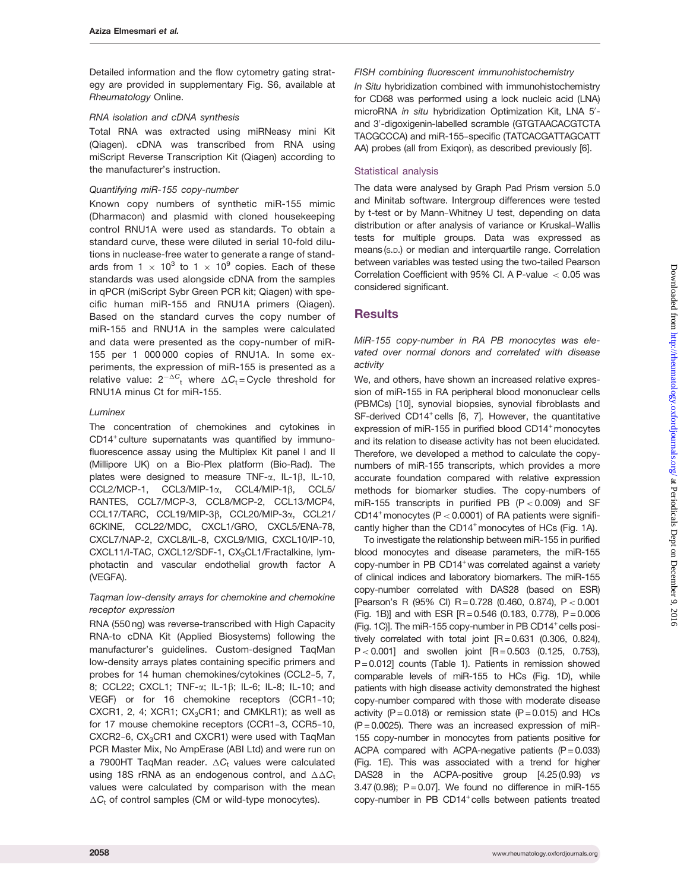Detailed information and the flow cytometry gating strategy are provided in [supplementary Fig. S6](http://rheumatology.oxfordjournals.org/lookup/suppl/doi:10.1093/rheumatology/kew272/-/DC1), available at Rheumatology Online.

#### RNA isolation and cDNA synthesis

Total RNA was extracted using miRNeasy mini Kit (Qiagen). cDNA was transcribed from RNA using miScript Reverse Transcription Kit (Qiagen) according to the manufacturer's instruction.

#### Quantifying miR-155 copy-number

Known copy numbers of synthetic miR-155 mimic (Dharmacon) and plasmid with cloned housekeeping control RNU1A were used as standards. To obtain a standard curve, these were diluted in serial 10-fold dilutions in nuclease-free water to generate a range of standards from 1  $\times$  10<sup>3</sup> to 1  $\times$  10<sup>9</sup> copies. Each of these standards was used alongside cDNA from the samples in qPCR (miScript Sybr Green PCR kit; Qiagen) with specific human miR-155 and RNU1A primers (Qiagen). Based on the standard curves the copy number of miR-155 and RNU1A in the samples were calculated and data were presented as the copy-number of miR-155 per 1 000 000 copies of RNU1A. In some experiments, the expression of miR-155 is presented as a relative value:  $2^{-\Delta C}$ <sub>t</sub> where  $\Delta C$ <sub>t</sub>=Cycle threshold for RNU1A minus Ct for miR-155.

### Luminex

The concentration of chemokines and cytokines in CD14<sup>+</sup> culture supernatants was quantified by immunofluorescence assay using the Multiplex Kit panel I and II (Millipore UK) on a Bio-Plex platform (Bio-Rad). The plates were designed to measure TNF- $\alpha$ , IL-1 $\beta$ , IL-10, CCL2/MCP-1, CCL3/MIP-1α, CCL4/MIP-1β, CCL5/ RANTES, CCL7/MCP-3, CCL8/MCP-2, CCL13/MCP4, CCL17/TARC, CCL19/MIP-3β, CCL20/MIP-3α, CCL21/ 6CKINE, CCL22/MDC, CXCL1/GRO, CXCL5/ENA-78, CXCL7/NAP-2, CXCL8/IL-8, CXCL9/MIG, CXCL10/IP-10, CXCL11/I-TAC, CXCL12/SDF-1, CX<sub>3</sub>CL1/Fractalkine, lymphotactin and vascular endothelial growth factor A (VEGFA).

### Taqman low-density arrays for chemokine and chemokine receptor expression

RNA (550 ng) was reverse-transcribed with High Capacity RNA-to cDNA Kit (Applied Biosystems) following the manufacturer's guidelines. Custom-designed TaqMan low-density arrays plates containing specific primers and probes for 14 human chemokines/cytokines (CCL2-5, 7, 8; CCL22; CXCL1; TNF-a; IL-1b; IL-6; IL-8; IL-10; and VEGF) or for 16 chemokine receptors (CCR1-10; CXCR1, 2, 4;  $XCR1$ ;  $CX<sub>3</sub>CR1$ ; and CMKLR1); as well as for 17 mouse chemokine receptors (CCR1-3, CCR5-10, CXCR2-6, CX<sub>3</sub>CR1 and CXCR1) were used with TaqMan PCR Master Mix, No AmpErase (ABI Ltd) and were run on a 7900HT TaqMan reader.  $\triangle C_{\mathrm{t}}$  values were calculated using 18S rRNA as an endogenous control, and  $\Delta\Delta C_{\rm t}$ values were calculated by comparison with the mean  $\Delta C_t$  of control samples (CM or wild-type monocytes).

### FISH combining fluorescent immunohistochemistry

In Situ hybridization combined with immunohistochemistry for CD68 was performed using a lock nucleic acid (LNA) microRNA in situ hybridization Optimization Kit, LNA 5'and 3'-digoxigenin-labelled scramble (GTGTAACACGTCTA TACGCCCA) and miR-155-specific (TATCACGATTAGCATT AA) probes (all from Exiqon), as described previously [[6](#page-8-0)].

### Statistical analysis

The data were analysed by Graph Pad Prism version 5.0 and Minitab software. Intergroup differences were tested by t-test or by Mann-Whitney U test, depending on data distribution or after analysis of variance or Kruskal-Wallis tests for multiple groups. Data was expressed as means (S.D.) or median and interquartile range. Correlation between variables was tested using the two-tailed Pearson Correlation Coefficient with 95% CI. A P-value < 0.05 was considered significant.

# **Results**

MiR-155 copy-number in RA PB monocytes was elevated over normal donors and correlated with disease activity

We, and others, have shown an increased relative expression of miR-155 in RA peripheral blood mononuclear cells (PBMCs) [[10\]](#page-8-0), synovial biopsies, synovial fibroblasts and SF-derived CD14<sup>+</sup> cells [\[6, 7](#page-8-0)]. However, the quantitative expression of miR-155 in purified blood CD14<sup>+</sup> monocytes and its relation to disease activity has not been elucidated. Therefore, we developed a method to calculate the copynumbers of miR-155 transcripts, which provides a more accurate foundation compared with relative expression methods for biomarker studies. The copy-numbers of miR-155 transcripts in purified PB  $(P < 0.009)$  and SF CD14<sup>+</sup> monocytes (P < 0.0001) of RA patients were significantly higher than the CD14<sup>+</sup> monocytes of HCs (Fig. 1A).

To investigate the relationship between miR-155 in purified blood monocytes and disease parameters, the miR-155 copy-number in PB CD14<sup>+</sup> was correlated against a variety of clinical indices and laboratory biomarkers. The miR-155 copy-number correlated with DAS28 (based on ESR) [Pearson's R (95% CI) R = 0.728 (0.460, 0.874), P< 0.001 (Fig. 1B)] and with ESR  $[R = 0.546$  (0.183, 0.778),  $P = 0.006$ (Fig. 1C)]. The miR-155 copy-number in PB CD14<sup>+</sup> cells positively correlated with total joint  $[R = 0.631 \ (0.306, 0.824),]$  $P < 0.001$ ] and swollen joint  $[R = 0.503 \ (0.125, \ 0.753)$ , P = 0.012] counts ([Table 1](#page-4-0)). Patients in remission showed comparable levels of miR-155 to HCs (Fig. 1D), while patients with high disease activity demonstrated the highest copy-number compared with those with moderate disease activity ( $P = 0.018$ ) or remission state ( $P = 0.015$ ) and HCs  $(P = 0.0025)$ . There was an increased expression of miR-155 copy-number in monocytes from patients positive for ACPA compared with ACPA-negative patients  $(P = 0.033)$ (Fig. 1E). This was associated with a trend for higher DAS28 in the ACPA-positive group [4.25 (0.93) vs 3.47 (0.98);  $P = 0.07$ ]. We found no difference in miR-155 copy-number in PB CD14<sup>+</sup> cells between patients treated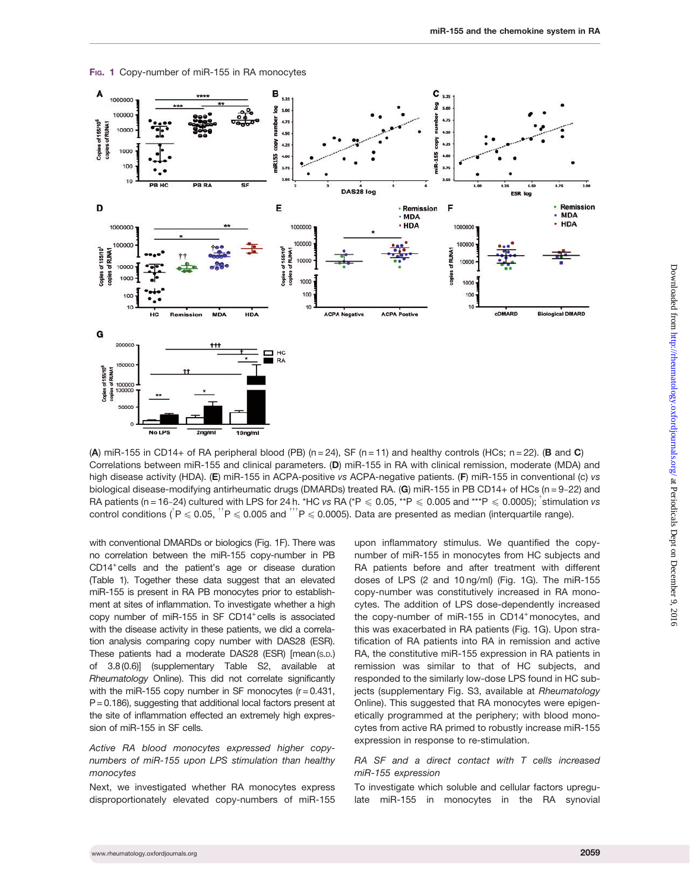

Fig. 1 Copy-number of miR-155 in RA monocytes

(A) miR-155 in CD14+ of RA peripheral blood (PB) ( $n = 24$ ), SF ( $n = 11$ ) and healthy controls (HCs;  $n = 22$ ). (B and C) Correlations between miR-155 and clinical parameters. (D) miR-155 in RA with clinical remission, moderate (MDA) and high disease activity (HDA). (E) miR-155 in ACPA-positive vs ACPA-negative patients. (F) miR-155 in conventional (c) vs biological disease-modifying antirheumatic drugs (DMARDs) treated RA. (G) miR-155 in PB CD14+ of HCs (n = 9-22) and RA patients (n = 16-24) cultured with LPS for 24 h. \*HC vs RA (\*P  $\leqslant$  0.05, \*\*P  $\leqslant$  0.005 and \*\*\*P  $\leqslant$  0.0005); <sup>†</sup>stimulation vs control conditions (<sup>†</sup> P  $\leqslant$  0.05, <sup>\*\*</sup> P  $\leqslant$  0.005 and <sup>\*\*\*</sup> P  $\leqslant$  0.0005). Data are presented as median (interquartile range).

with conventional DMARDs or biologics (Fig. 1F). There was no correlation between the miR-155 copy-number in PB CD14+cells and the patient's age or disease duration [\(Table 1](#page-4-0)). Together these data suggest that an elevated miR-155 is present in RA PB monocytes prior to establishment at sites of inflammation. To investigate whether a high copy number of miR-155 in SF  $CD14^+$ cells is associated with the disease activity in these patients, we did a correlation analysis comparing copy number with DAS28 (ESR). These patients had a moderate DAS28 (ESR) [mean (S.D.) of 3.8(0.6)] ([supplementary Table S2](http://rheumatology.oxfordjournals.org/lookup/suppl/doi:10.1093/rheumatology/kew272/-/DC1), available at Rheumatology Online). This did not correlate significantly with the miR-155 copy number in SF monocytes  $(r = 0.431,$  $P = 0.186$ ), suggesting that additional local factors present at the site of inflammation effected an extremely high expression of miR-155 in SF cells.

#### Active RA blood monocytes expressed higher copynumbers of miR-155 upon LPS stimulation than healthy monocytes

Next, we investigated whether RA monocytes express disproportionately elevated copy-numbers of miR-155 upon inflammatory stimulus. We quantified the copynumber of miR-155 in monocytes from HC subjects and RA patients before and after treatment with different doses of LPS (2 and 10 ng/ml) (Fig. 1G). The miR-155 copy-number was constitutively increased in RA monocytes. The addition of LPS dose-dependently increased the copy-number of miR-155 in  $CD14<sup>+</sup>$  monocytes, and this was exacerbated in RA patients (Fig. 1G). Upon stratification of RA patients into RA in remission and active RA, the constitutive miR-155 expression in RA patients in remission was similar to that of HC subjects, and responded to the similarly low-dose LPS found in HC subjects [\(supplementary Fig. S3](http://rheumatology.oxfordjournals.org/lookup/suppl/doi:10.1093/rheumatology/kew272/-/DC1), available at Rheumatology Online). This suggested that RA monocytes were epigenetically programmed at the periphery; with blood monocytes from active RA primed to robustly increase miR-155 expression in response to re-stimulation.

#### RA SF and a direct contact with T cells increased miR-155 expression

To investigate which soluble and cellular factors upregulate miR-155 in monocytes in the RA synovial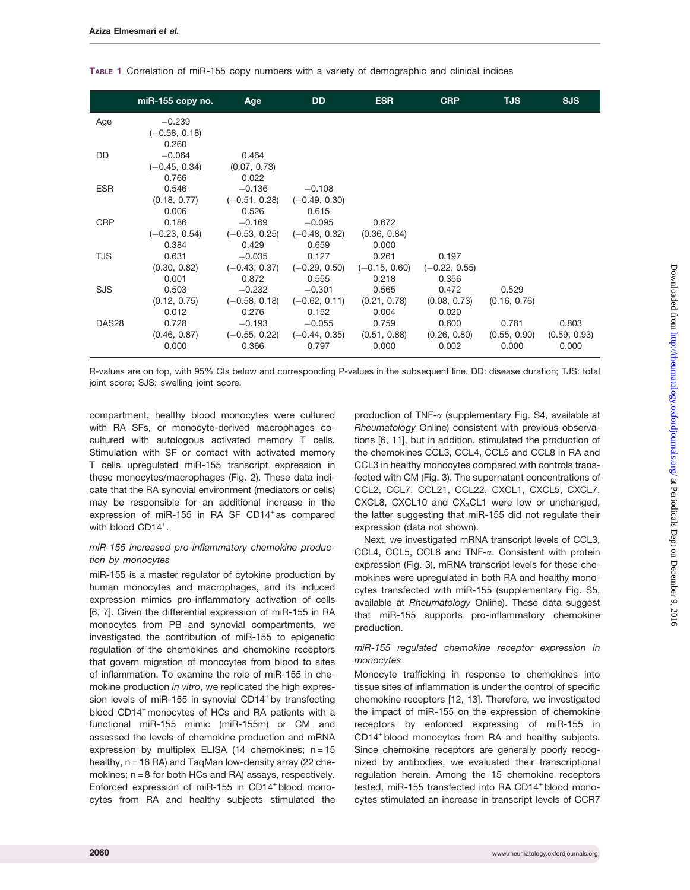|            | $miR-155$ copy no. | Age             | <b>DD</b>       | <b>ESR</b>      | <b>CRP</b>      | <b>TJS</b>   | <b>SJS</b>   |
|------------|--------------------|-----------------|-----------------|-----------------|-----------------|--------------|--------------|
| Age        | $-0.239$           |                 |                 |                 |                 |              |              |
|            | $(-0.58, 0.18)$    |                 |                 |                 |                 |              |              |
|            | 0.260              |                 |                 |                 |                 |              |              |
| DD         | $-0.064$           | 0.464           |                 |                 |                 |              |              |
|            | $(-0.45, 0.34)$    | (0.07, 0.73)    |                 |                 |                 |              |              |
|            | 0.766              | 0.022           |                 |                 |                 |              |              |
| <b>ESR</b> | 0.546              | $-0.136$        | $-0.108$        |                 |                 |              |              |
|            | (0.18, 0.77)       | $(-0.51, 0.28)$ | $(-0.49, 0.30)$ |                 |                 |              |              |
|            | 0.006              | 0.526           | 0.615           |                 |                 |              |              |
| <b>CRP</b> | 0.186              | $-0.169$        | $-0.095$        | 0.672           |                 |              |              |
|            | $(-0.23, 0.54)$    | $(-0.53, 0.25)$ | $(-0.48, 0.32)$ | (0.36, 0.84)    |                 |              |              |
|            | 0.384              | 0.429           | 0.659           | 0.000           |                 |              |              |
| TJS        | 0.631              | $-0.035$        | 0.127           | 0.261           | 0.197           |              |              |
|            | (0.30, 0.82)       | $(-0.43, 0.37)$ | $(-0.29, 0.50)$ | $(-0.15, 0.60)$ | $(-0.22, 0.55)$ |              |              |
|            | 0.001              | 0.872           | 0.555           | 0.218           | 0.356           |              |              |
| <b>SJS</b> | 0.503              | $-0.232$        | $-0.301$        | 0.565           | 0.472           | 0.529        |              |
|            | (0.12, 0.75)       | $(-0.58, 0.18)$ | $(-0.62, 0.11)$ | (0.21, 0.78)    | (0.08, 0.73)    | (0.16, 0.76) |              |
|            | 0.012              | 0.276           | 0.152           | 0.004           | 0.020           |              |              |
| DAS28      | 0.728              | $-0.193$        | $-0.055$        | 0.759           | 0.600           | 0.781        | 0.803        |
|            | (0.46, 0.87)       | $(-0.55, 0.22)$ | $(-0.44, 0.35)$ | (0.51, 0.88)    | (0.26, 0.80)    | (0.55, 0.90) | (0.59, 0.93) |
|            | 0.000              | 0.366           | 0.797           | 0.000           | 0.002           | 0.000        | 0.000        |
|            |                    |                 |                 |                 |                 |              |              |

<span id="page-4-0"></span>TABLE 1 Correlation of miR-155 copy numbers with a variety of demographic and clinical indices

R-values are on top, with 95% CIs below and corresponding P-values in the subsequent line. DD: disease duration; TJS: total joint score; SJS: swelling joint score.

compartment, healthy blood monocytes were cultured with RA SFs, or monocyte-derived macrophages cocultured with autologous activated memory T cells. Stimulation with SF or contact with activated memory T cells upregulated miR-155 transcript expression in these monocytes/macrophages (Fig. 2). These data indicate that the RA synovial environment (mediators or cells) may be responsible for an additional increase in the expression of miR-155 in RA SF CD14<sup>+</sup> as compared with blood CD14<sup>+</sup>.

#### miR-155 increased pro-inflammatory chemokine production by monocytes

miR-155 is a master regulator of cytokine production by human monocytes and macrophages, and its induced expression mimics pro-inflammatory activation of cells [[6](#page-8-0), [7](#page-8-0)]. Given the differential expression of miR-155 in RA monocytes from PB and synovial compartments, we investigated the contribution of miR-155 to epigenetic regulation of the chemokines and chemokine receptors that govern migration of monocytes from blood to sites of inflammation. To examine the role of miR-155 in chemokine production in vitro, we replicated the high expression levels of miR-155 in synovial CD14<sup>+</sup> by transfecting blood CD14<sup>+</sup> monocytes of HCs and RA patients with a functional miR-155 mimic (miR-155m) or CM and assessed the levels of chemokine production and mRNA expression by multiplex ELISA (14 chemokines;  $n = 15$ healthy, n = 16 RA) and TaqMan low-density array (22 chemokines;  $n = 8$  for both HCs and RA) assays, respectively. Enforced expression of miR-155 in CD14+ blood monocytes from RA and healthy subjects stimulated the

production of TNF-a ([supplementary Fig. S4](http://rheumatology.oxfordjournals.org/lookup/suppl/doi:10.1093/rheumatology/kew272/-/DC1), available at Rheumatology Online) consistent with previous observations [[6, 11](#page-8-0)], but in addition, stimulated the production of the chemokines CCL3, CCL4, CCL5 and CCL8 in RA and CCL3 in healthy monocytes compared with controls transfected with CM (Fig. 3). The supernatant concentrations of CCL2, CCL7, CCL21, CCL22, CXCL1, CXCL5, CXCL7, CXCL8, CXCL10 and  $CX<sub>3</sub>CL1$  were low or unchanged, the latter suggesting that miR-155 did not regulate their expression (data not shown).

Next, we investigated mRNA transcript levels of CCL3, CCL4, CCL5, CCL8 and TNF-a. Consistent with protein expression (Fig. 3), mRNA transcript levels for these chemokines were upregulated in both RA and healthy monocytes transfected with miR-155 ([supplementary Fig. S5,](http://rheumatology.oxfordjournals.org/lookup/suppl/doi:10.1093/rheumatology/kew272/-/DC1) available at Rheumatology Online). These data suggest that miR-155 supports pro-inflammatory chemokine production.

#### miR-155 regulated chemokine receptor expression in monocytes

Monocyte trafficking in response to chemokines into tissue sites of inflammation is under the control of specific chemokine receptors [\[12, 13](#page-8-0)]. Therefore, we investigated the impact of miR-155 on the expression of chemokine receptors by enforced expressing of miR-155 in CD14<sup>+</sup> blood monocytes from RA and healthy subjects. Since chemokine receptors are generally poorly recognized by antibodies, we evaluated their transcriptional regulation herein. Among the 15 chemokine receptors tested, miR-155 transfected into RA CD14+ blood monocytes stimulated an increase in transcript levels of CCR7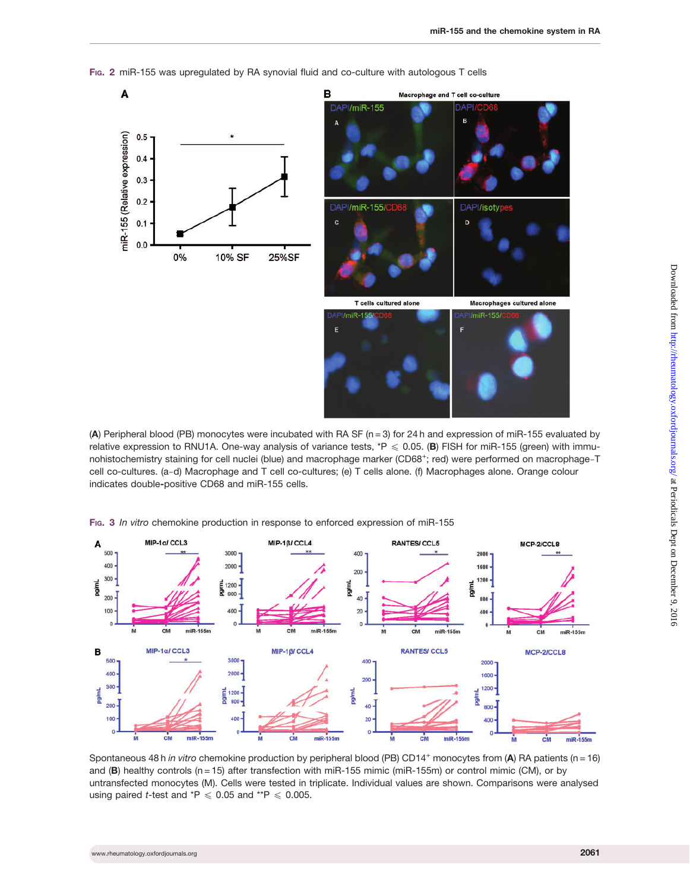

FIG. 2 miR-155 was upregulated by RA synovial fluid and co-culture with autologous T cells

(A) Peripheral blood (PB) monocytes were incubated with RA SF ( $n = 3$ ) for 24 h and expression of miR-155 evaluated by relative expression to RNU1A. One-way analysis of variance tests,  $*P \le 0.05$ . (B) FISH for miR-155 (green) with immunohistochemistry staining for cell nuclei (blue) and macrophage marker (CD68<sup>+</sup>; red) were performed on macrophage-T cell co-cultures. (a-d) Macrophage and T cell co-cultures; (e) T cells alone. (f) Macrophages alone. Orange colour indicates double-positive CD68 and miR-155 cells.

FIG. 3 In vitro chemokine production in response to enforced expression of miR-155



Spontaneous 48 h in vitro chemokine production by peripheral blood (PB) CD14<sup>+</sup> monocytes from (A) RA patients (n = 16) and (B) healthy controls (n = 15) after transfection with miR-155 mimic (miR-155m) or control mimic (CM), or by untransfected monocytes (M). Cells were tested in triplicate. Individual values are shown. Comparisons were analysed using paired *t*-test and  $*P \le 0.05$  and  $*P \le 0.005$ .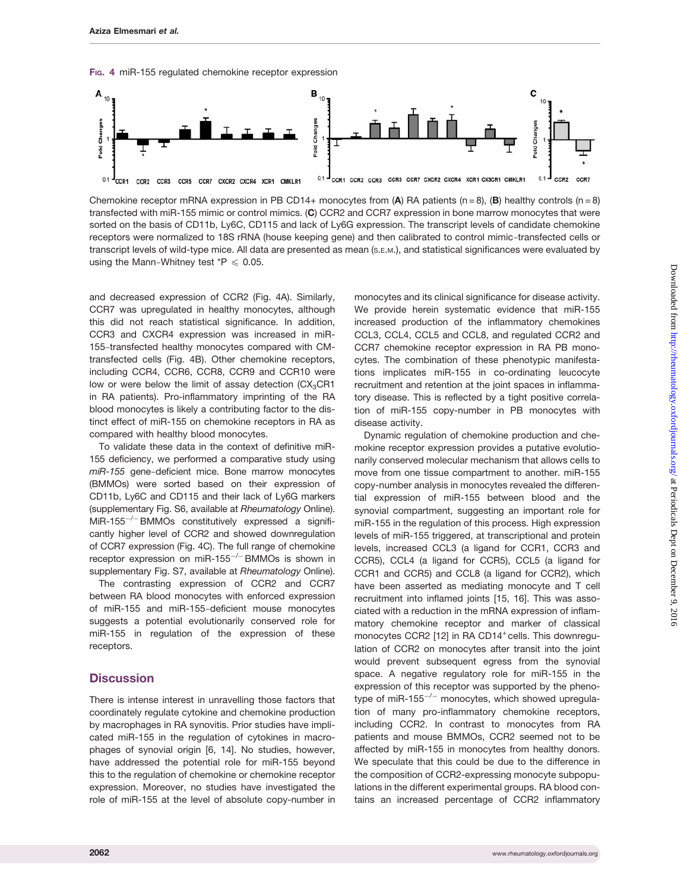F<sub>IG</sub>. 4 miR-155 regulated chemokine receptor expression



Chemokine receptor mRNA expression in PB CD14+ monocytes from (A) RA patients (n = 8), (B) healthy controls (n = 8) transfected with miR-155 mimic or control mimics. (C) CCR2 and CCR7 expression in bone marrow monocytes that were sorted on the basis of CD11b, Ly6C, CD115 and lack of Ly6G expression. The transcript levels of candidate chemokine receptors were normalized to 18S rRNA (house keeping gene) and then calibrated to control mimic-transfected cells or transcript levels of wild-type mice. All data are presented as mean (S.E.M.), and statistical significances were evaluated by using the Mann-Whitney test  $*P \le 0.05$ .

and decreased expression of CCR2 (Fig. 4A). Similarly, CCR7 was upregulated in healthy monocytes, although this did not reach statistical significance. In addition, CCR3 and CXCR4 expression was increased in miR-155-transfected healthy monocytes compared with CMtransfected cells (Fig. 4B). Other chemokine receptors, including CCR4, CCR6, CCR8, CCR9 and CCR10 were low or were below the limit of assay detection  $(CX_3CR1)$ in RA patients). Pro-inflammatory imprinting of the RA blood monocytes is likely a contributing factor to the distinct effect of miR-155 on chemokine receptors in RA as compared with healthy blood monocytes.

To validate these data in the context of definitive miR-155 deficiency, we performed a comparative study using miR-155 gene-deficient mice. Bone marrow monocytes (BMMOs) were sorted based on their expression of CD11b, Ly6C and CD115 and their lack of Ly6G markers [\(supplementary Fig. S6,](http://rheumatology.oxfordjournals.org/lookup/suppl/doi:10.1093/rheumatology/kew272/-/DC1) available at Rheumatology Online). MiR-155<sup>-/-</sup> BMMOs constitutively expressed a significantly higher level of CCR2 and showed downregulation of CCR7 expression (Fig. 4C). The full range of chemokine receptor expression on miR-155<sup>-/-</sup>BMMOs is shown in [supplementary Fig. S7](http://rheumatology.oxfordjournals.org/lookup/suppl/doi:10.1093/rheumatology/kew272/-/DC1), available at Rheumatology Online).

The contrasting expression of CCR2 and CCR7 between RA blood monocytes with enforced expression of miR-155 and miR-155-deficient mouse monocytes suggests a potential evolutionarily conserved role for miR-155 in regulation of the expression of these receptors.

### **Discussion**

There is intense interest in unravelling those factors that coordinately regulate cytokine and chemokine production by macrophages in RA synovitis. Prior studies have implicated miR-155 in the regulation of cytokines in macrophages of synovial origin [[6, 14](#page-8-0)]. No studies, however, have addressed the potential role for miR-155 beyond this to the regulation of chemokine or chemokine receptor expression. Moreover, no studies have investigated the role of miR-155 at the level of absolute copy-number in

monocytes and its clinical significance for disease activity. We provide herein systematic evidence that miR-155 increased production of the inflammatory chemokines CCL3, CCL4, CCL5 and CCL8, and regulated CCR2 and CCR7 chemokine receptor expression in RA PB monocytes. The combination of these phenotypic manifestations implicates miR-155 in co-ordinating leucocyte recruitment and retention at the joint spaces in inflammatory disease. This is reflected by a tight positive correlation of miR-155 copy-number in PB monocytes with disease activity.

Dynamic regulation of chemokine production and chemokine receptor expression provides a putative evolutionarily conserved molecular mechanism that allows cells to move from one tissue compartment to another. miR-155 copy-number analysis in monocytes revealed the differential expression of miR-155 between blood and the synovial compartment, suggesting an important role for miR-155 in the regulation of this process. High expression levels of miR-155 triggered, at transcriptional and protein levels, increased CCL3 (a ligand for CCR1, CCR3 and CCR5), CCL4 (a ligand for CCR5), CCL5 (a ligand for CCR1 and CCR5) and CCL8 (a ligand for CCR2), which have been asserted as mediating monocyte and T cell recruitment into inflamed joints [[15](#page-8-0), [16\]](#page-8-0). This was associated with a reduction in the mRNA expression of inflammatory chemokine receptor and marker of classical monocytes CCR2 [[12](#page-8-0)] in RA CD14<sup>+</sup> cells. This downregulation of CCR2 on monocytes after transit into the joint would prevent subsequent egress from the synovial space. A negative regulatory role for miR-155 in the expression of this receptor was supported by the phenotype of miR-155<sup>-/-</sup> monocytes, which showed upregulation of many pro-inflammatory chemokine receptors, including CCR2. In contrast to monocytes from RA patients and mouse BMMOs, CCR2 seemed not to be affected by miR-155 in monocytes from healthy donors. We speculate that this could be due to the difference in the composition of CCR2-expressing monocyte subpopulations in the different experimental groups. RA blood contains an increased percentage of CCR2 inflammatory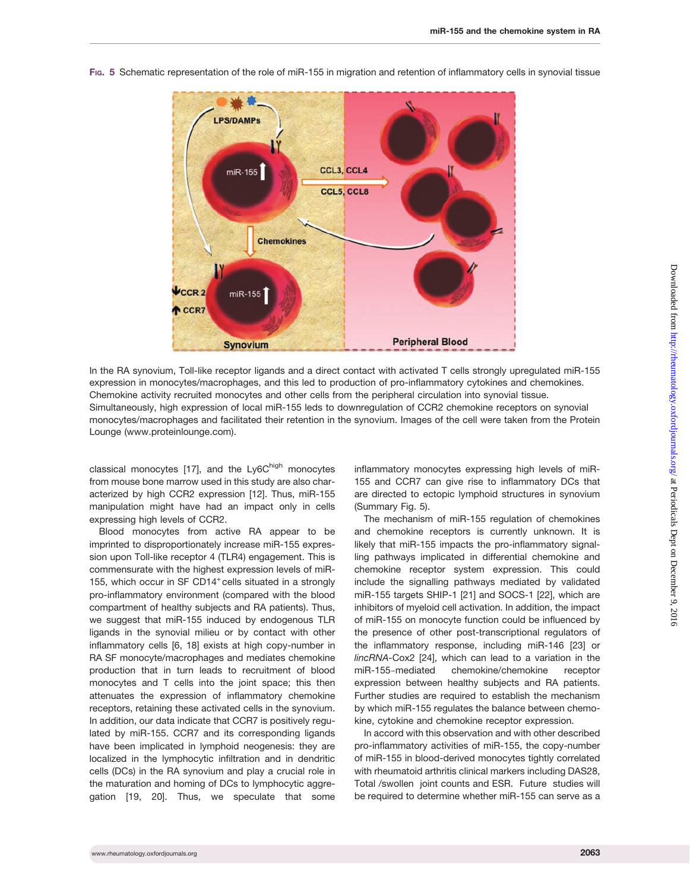

FIG. 5 Schematic representation of the role of miR-155 in migration and retention of inflammatory cells in synovial tissue

In the RA synovium, Toll-like receptor ligands and a direct contact with activated T cells strongly upregulated miR-155 expression in monocytes/macrophages, and this led to production of pro-inflammatory cytokines and chemokines. Chemokine activity recruited monocytes and other cells from the peripheral circulation into synovial tissue. Simultaneously, high expression of local miR-155 leds to downregulation of CCR2 chemokine receptors on synovial monocytes/macrophages and facilitated their retention in the synovium. Images of the cell were taken from the Protein Lounge (<www.proteinlounge.com>).

classical monocytes [\[17\]](#page-8-0), and the Ly6Chigh monocytes from mouse bone marrow used in this study are also characterized by high CCR2 expression [[12\]](#page-8-0). Thus, miR-155 manipulation might have had an impact only in cells expressing high levels of CCR2.

Blood monocytes from active RA appear to be imprinted to disproportionately increase miR-155 expression upon Toll-like receptor 4 (TLR4) engagement. This is commensurate with the highest expression levels of miR-155, which occur in SF CD14<sup>+</sup> cells situated in a strongly pro-inflammatory environment (compared with the blood compartment of healthy subjects and RA patients). Thus, we suggest that miR-155 induced by endogenous TLR ligands in the synovial milieu or by contact with other inflammatory cells [[6, 18\]](#page-8-0) exists at high copy-number in RA SF monocyte/macrophages and mediates chemokine production that in turn leads to recruitment of blood monocytes and T cells into the joint space; this then attenuates the expression of inflammatory chemokine receptors, retaining these activated cells in the synovium. In addition, our data indicate that CCR7 is positively regulated by miR-155. CCR7 and its corresponding ligands have been implicated in lymphoid neogenesis: they are localized in the lymphocytic infiltration and in dendritic cells (DCs) in the RA synovium and play a crucial role in the maturation and homing of DCs to lymphocytic aggregation [[19](#page-8-0), [20](#page-9-0)]. Thus, we speculate that some

inflammatory monocytes expressing high levels of miR-155 and CCR7 can give rise to inflammatory DCs that are directed to ectopic lymphoid structures in synovium (Summary Fig. 5).

The mechanism of miR-155 regulation of chemokines and chemokine receptors is currently unknown. It is likely that miR-155 impacts the pro-inflammatory signalling pathways implicated in differential chemokine and chemokine receptor system expression. This could include the signalling pathways mediated by validated miR-155 targets SHIP-1 [\[21](#page-9-0)] and SOCS-1 [\[22](#page-9-0)], which are inhibitors of myeloid cell activation. In addition, the impact of miR-155 on monocyte function could be influenced by the presence of other post-transcriptional regulators of the inflammatory response, including miR-146 [\[23\]](#page-9-0) or lincRNA-Cox2 [\[24\]](#page-9-0), which can lead to a variation in the miR-155chemokine/chemokine receptor expression between healthy subjects and RA patients. Further studies are required to establish the mechanism by which miR-155 regulates the balance between chemokine, cytokine and chemokine receptor expression.

In accord with this observation and with other described pro-inflammatory activities of miR-155, the copy-number of miR-155 in blood-derived monocytes tightly correlated with rheumatoid arthritis clinical markers including DAS28, Total /swollen joint counts and ESR. Future studies will be required to determine whether miR-155 can serve as a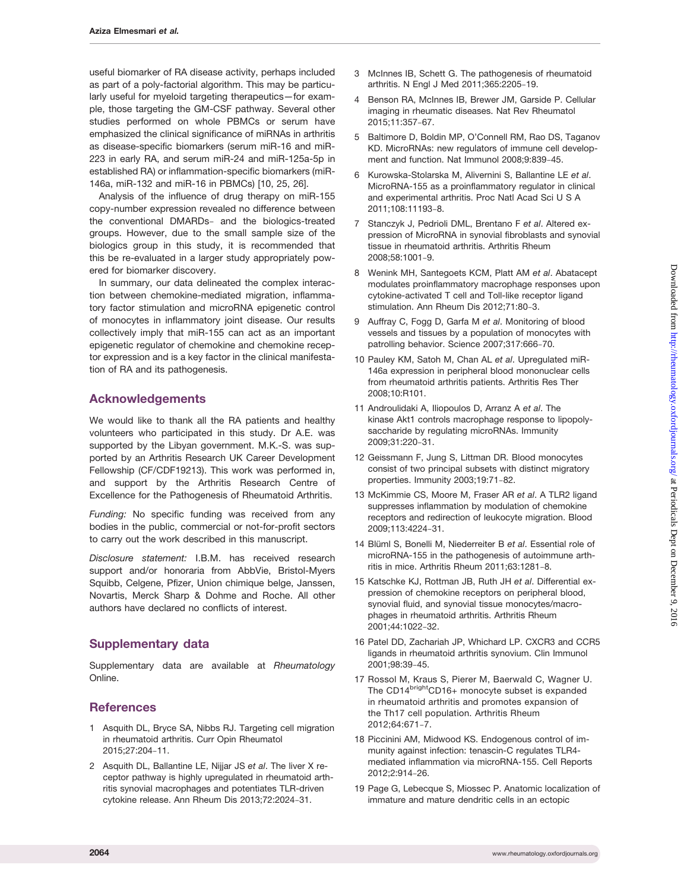<span id="page-8-0"></span>useful biomarker of RA disease activity, perhaps included as part of a poly-factorial algorithm. This may be particularly useful for myeloid targeting therapeutics—for example, those targeting the GM-CSF pathway. Several other studies performed on whole PBMCs or serum have emphasized the clinical significance of miRNAs in arthritis as disease-specific biomarkers (serum miR-16 and miR-223 in early RA, and serum miR-24 and miR-125a-5p in established RA) or inflammation-specific biomarkers (miR-146a, miR-132 and miR-16 in PBMCs) [10, [25](#page-9-0), [26\]](#page-9-0).

Analysis of the influence of drug therapy on miR-155 copy-number expression revealed no difference between the conventional DMARDs- and the biologics-treated groups. However, due to the small sample size of the biologics group in this study, it is recommended that this be re-evaluated in a larger study appropriately powered for biomarker discovery.

In summary, our data delineated the complex interaction between chemokine-mediated migration, inflammatory factor stimulation and microRNA epigenetic control of monocytes in inflammatory joint disease. Our results collectively imply that miR-155 can act as an important epigenetic regulator of chemokine and chemokine receptor expression and is a key factor in the clinical manifestation of RA and its pathogenesis.

## Acknowledgements

We would like to thank all the RA patients and healthy volunteers who participated in this study. Dr A.E. was supported by the Libyan government. M.K.-S. was supported by an Arthritis Research UK Career Development Fellowship (CF/CDF19213). This work was performed in, and support by the Arthritis Research Centre of Excellence for the Pathogenesis of Rheumatoid Arthritis.

Funding: No specific funding was received from any bodies in the public, commercial or not-for-profit sectors to carry out the work described in this manuscript.

Disclosure statement: I.B.M. has received research support and/or honoraria from AbbVie, Bristol-Myers Squibb, Celgene, Pfizer, Union chimique belge, Janssen, Novartis, Merck Sharp & Dohme and Roche. All other authors have declared no conflicts of interest.

# Supplementary data

[Supplementary data](http://rheumatology.oxfordjournals.org/lookup/suppl/doi:10.1093/rheumatology/kew272/-/DC1) are available at Rheumatology Online.

## **References**

- 1 Asquith DL, Bryce SA, Nibbs RJ. Targeting cell migration in rheumatoid arthritis. Curr Opin Rheumatol 2015;27:204-11.
- 2 Asquith DL, Ballantine LE, Nijjar JS et al. The liver X receptor pathway is highly upregulated in rheumatoid arthritis synovial macrophages and potentiates TLR-driven cytokine release. Ann Rheum Dis 2013;72:2024-31.
- 3 McInnes IB, Schett G. The pathogenesis of rheumatoid arthritis. N Engl J Med 2011;365:2205-19.
- 4 Benson RA, McInnes IB, Brewer JM, Garside P. Cellular imaging in rheumatic diseases. Nat Rev Rheumatol 2015;11:357-67.
- 5 Baltimore D, Boldin MP, O'Connell RM, Rao DS, Taganov KD. MicroRNAs: new regulators of immune cell development and function. Nat Immunol 2008;9:839-45.
- 6 Kurowska-Stolarska M, Alivernini S, Ballantine LE et al. MicroRNA-155 as a proinflammatory regulator in clinical and experimental arthritis. Proc Natl Acad Sci U S A 2011;108:11193-8.
- 7 Stanczyk J, Pedrioli DML, Brentano F et al. Altered expression of MicroRNA in synovial fibroblasts and synovial tissue in rheumatoid arthritis. Arthritis Rheum 2008;58:1001-9.
- 8 Wenink MH, Santegoets KCM, Platt AM et al. Abatacept modulates proinflammatory macrophage responses upon cytokine-activated T cell and Toll-like receptor ligand stimulation. Ann Rheum Dis 2012;71:80-3.
- 9 Auffray C, Fogg D, Garfa M et al. Monitoring of blood vessels and tissues by a population of monocytes with patrolling behavior. Science 2007;317:666-70.
- 10 Pauley KM, Satoh M, Chan AL et al. Upregulated miR-146a expression in peripheral blood mononuclear cells from rheumatoid arthritis patients. Arthritis Res Ther 2008;10:R101.
- 11 Androulidaki A, Iliopoulos D, Arranz A et al. The kinase Akt1 controls macrophage response to lipopolysaccharide by regulating microRNAs. Immunity 2009;31:220-31.
- 12 Geissmann F, Jung S, Littman DR. Blood monocytes consist of two principal subsets with distinct migratory properties. Immunity 2003;19:71-82.
- 13 McKimmie CS, Moore M, Fraser AR et al. A TLR2 ligand suppresses inflammation by modulation of chemokine receptors and redirection of leukocyte migration. Blood 2009;113:4224-31.
- 14 Blüml S, Bonelli M, Niederreiter B et al. Essential role of microRNA-155 in the pathogenesis of autoimmune arthritis in mice. Arthritis Rheum 2011;63:1281-8.
- 15 Katschke KJ, Rottman JB, Ruth JH et al. Differential expression of chemokine receptors on peripheral blood, synovial fluid, and synovial tissue monocytes/macrophages in rheumatoid arthritis. Arthritis Rheum 2001;44:1022-32.
- 16 Patel DD, Zachariah JP, Whichard LP. CXCR3 and CCR5 ligands in rheumatoid arthritis synovium. Clin Immunol 2001;98:39-45.
- 17 Rossol M, Kraus S, Pierer M, Baerwald C, Wagner U. The CD14<sup>bright</sup>CD16+ monocyte subset is expanded in rheumatoid arthritis and promotes expansion of the Th17 cell population. Arthritis Rheum 2012;64:671-7.
- 18 Piccinini AM, Midwood KS. Endogenous control of immunity against infection: tenascin-C regulates TLR4 mediated inflammation via microRNA-155. Cell Reports 2012;2:914-26.
- 19 Page G, Lebecque S, Miossec P. Anatomic localization of immature and mature dendritic cells in an ectopic